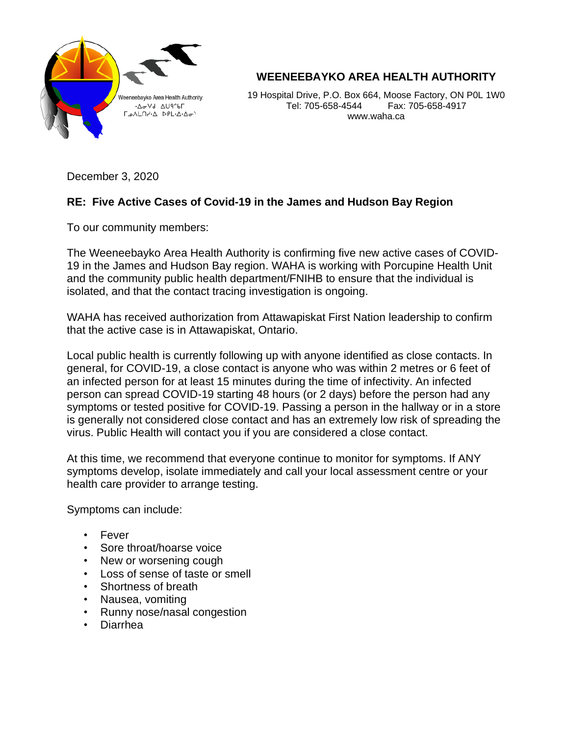

**WEENEEBAYKO AREA HEALTH AUTHORITY**

19 Hospital Drive, P.O. Box 664, Moose Factory, ON P0L 1W0 Tel: 705-658-4544 Fax: 705-658-4917 www.waha.ca

December 3, 2020

## **RE: Five Active Cases of Covid-19 in the James and Hudson Bay Region**

To our community members:

The Weeneebayko Area Health Authority is confirming five new active cases of COVID-19 in the James and Hudson Bay region. WAHA is working with Porcupine Health Unit and the community public health department/FNIHB to ensure that the individual is isolated, and that the contact tracing investigation is ongoing.

WAHA has received authorization from Attawapiskat First Nation leadership to confirm that the active case is in Attawapiskat, Ontario.

Local public health is currently following up with anyone identified as close contacts. In general, for COVID-19, a close contact is anyone who was within 2 metres or 6 feet of an infected person for at least 15 minutes during the time of infectivity. An infected person can spread COVID-19 starting 48 hours (or 2 days) before the person had any symptoms or tested positive for COVID-19. Passing a person in the hallway or in a store is generally not considered close contact and has an extremely low risk of spreading the virus. Public Health will contact you if you are considered a close contact.

At this time, we recommend that everyone continue to monitor for symptoms. If ANY symptoms develop, isolate immediately and call your local assessment centre or your health care provider to arrange testing.

Symptoms can include:

- Fever
- Sore throat/hoarse voice
- New or worsening cough
- Loss of sense of taste or smell
- Shortness of breath
- Nausea, vomiting
- Runny nose/nasal congestion
- Diarrhea